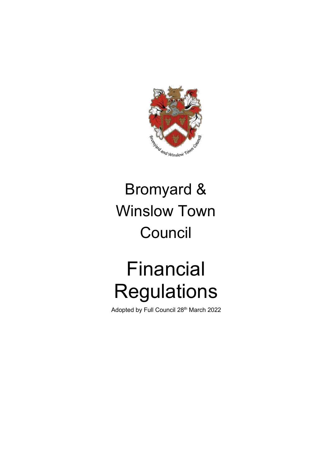

## Bromyard & Winslow Town **Council**

# Financial **Regulations**

Adopted by Full Council 28<sup>th</sup> March 2022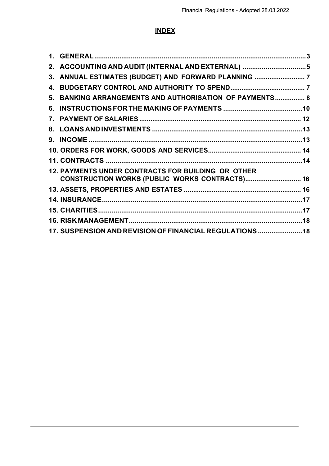### **INDEX**

 $\begin{array}{c} \hline \end{array}$ 

|    | 2. ACCOUNTING AND AUDIT (INTERNAL AND EXTERNAL) 5        |  |
|----|----------------------------------------------------------|--|
|    | 3. ANNUAL ESTIMATES (BUDGET) AND FORWARD PLANNING  7     |  |
| 4. |                                                          |  |
| 5. | BANKING ARRANGEMENTS AND AUTHORISATION OF PAYMENTS 8     |  |
| 6. |                                                          |  |
|    |                                                          |  |
|    |                                                          |  |
|    |                                                          |  |
|    |                                                          |  |
|    |                                                          |  |
|    | 12. PAYMENTS UNDER CONTRACTS FOR BUILDING OR OTHER       |  |
|    | CONSTRUCTION WORKS (PUBLIC WORKS CONTRACTS) 16           |  |
|    |                                                          |  |
|    |                                                          |  |
|    |                                                          |  |
|    |                                                          |  |
|    | 17. SUSPENSION AND REVISION OF FINANCIAL REGULATIONS  18 |  |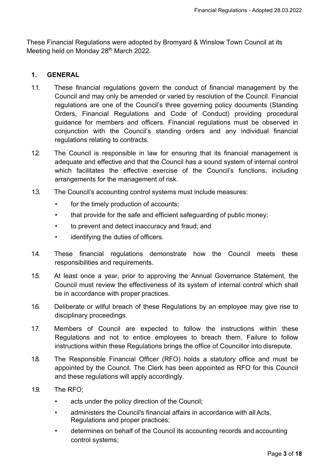<span id="page-2-0"></span>These Financial Regulations were adopted by Bromyard & Winslow Town Council at its Meeting held on Monday 28<sup>th</sup> March 2022.

#### **1. GENERAL**

- 1.1. These financial regulations govern the conduct of financial management by the Council and may only be amended or varied by resolution of the Council. Financial regulations are one of the Council's three governing policy documents (Standing Orders, Financial Regulations and Code of Conduct) providing procedural guidance for members and officers. Financial regulations must be observed in conjunction with the Council's standing orders and any individual financial regulations relating to contracts.
- 12. The Council is responsible in law for ensuring that its financial management is adequate and effective and that the Council has a sound system of internal control which facilitates the effective exercise of the Council's functions, including arrangements for the management of risk.
- 1.3. The Council's accounting control systems must include measures:
	- for the timely production of accounts;
	- that provide for the safe and efficient safeguarding of public money;
	- to prevent and detect inaccuracy and fraud; and
	- identifying the duties of officers.
- 1.4. These financial regulations demonstrate how the Council meets these responsibilities and requirements.
- 1.5. At least once a year, prior to approving the Annual Governance Statement, the Council must review the effectiveness of its system of internal control which shall be in accordance with proper practices.
- 1.6. Deliberate or wilful breach of these Regulations by an employee may give rise to disciplinary proceedings.
- 1.7. Members of Council are expected to follow the instructions within these Regulations and not to entice employees to breach them. Failure to follow instructions within these Regulations brings the office of Councillor into disrepute.
- 1.8. The Responsible Financial Officer (RFO) holds a statutory office and must be appointed by the Council. The Clerk has been appointed as RFO for this Council and these regulations will apply accordingly.
- 1.9. The RFO;
	- acts under the policy direction of the Council;
	- administers the Council's financial affairs in accordance with all Acts, Regulations and proper practices;
	- determines on behalf of the Council its accounting records and accounting control systems;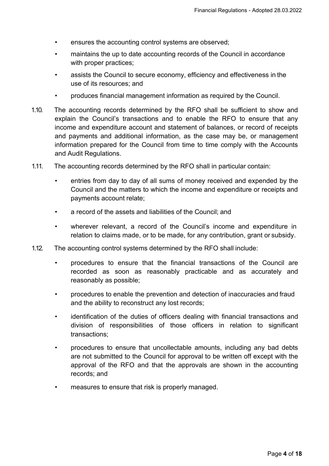- ensures the accounting control systems are observed;
- maintains the up to date accounting records of the Council in accordance with proper practices;
- assists the Council to secure economy, efficiency and effectiveness in the use of its resources; and
- produces financial management information as required by the Council.
- 1.10. The accounting records determined by the RFO shall be sufficient to show and explain the Council's transactions and to enable the RFO to ensure that any income and expenditure account and statement of balances, or record of receipts and payments and additional information, as the case may be, or management information prepared for the Council from time to time comply with the Accounts and Audit Regulations.
- 1.11. The accounting records determined by the RFO shall in particular contain:
	- entries from day to day of all sums of money received and expended by the Council and the matters to which the income and expenditure or receipts and payments account relate;
	- a record of the assets and liabilities of the Council; and
	- wherever relevant, a record of the Council's income and expenditure in relation to claims made, or to be made, for any contribution, grant or subsidy.
- 1.12. The accounting control systems determined by the RFO shall include:
	- procedures to ensure that the financial transactions of the Council are recorded as soon as reasonably practicable and as accurately and reasonably as possible;
	- procedures to enable the prevention and detection of inaccuracies and fraud and the ability to reconstruct any lost records;
	- identification of the duties of officers dealing with financial transactions and division of responsibilities of those officers in relation to significant transactions;
	- procedures to ensure that uncollectable amounts, including any bad debts are not submitted to the Council for approval to be written off except with the approval of the RFO and that the approvals are shown in the accounting records; and
	- measures to ensure that risk is properly managed.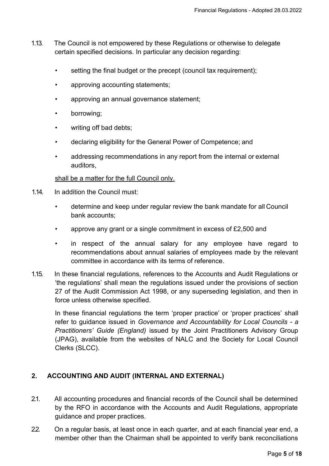- <span id="page-4-0"></span>1.13. The Council is not empowered by these Regulations or otherwise to delegate certain specified decisions. In particular any decision regarding:
	- setting the final budget or the precept (council tax requirement);
	- approving accounting statements;
	- approving an annual governance statement;
	- borrowing;
	- writing off bad debts;
	- declaring eligibility for the General Power of Competence; and
	- addressing recommendations in any report from the internal or external auditors,

#### shall be a matter for the full Council only.

- 1.14. In addition the Council must:
	- determine and keep under regular review the bank mandate for all Council bank accounts;
	- approve any grant or a single commitment in excess of £2,500 and
	- in respect of the annual salary for any employee have regard to recommendations about annual salaries of employees made by the relevant committee in accordance with its terms of reference.
- 1.15. In these financial regulations, references to the Accounts and Audit Regulations or 'the regulations' shall mean the regulations issued under the provisions of section 27 of the Audit Commission Act 1998, or any superseding legislation, and then in force unless otherwise specified.

In these financial regulations the term 'proper practice' or 'proper practices' shall refer to guidance issued in *Governance and Accountability for Local Councils - a Practitioners' Guide (England)* issued by the Joint Practitioners Advisory Group (JPAG), available from the websites of NALC and the Society for Local Council Clerks (SLCC).

#### **2. ACCOUNTING AND AUDIT (INTERNAL AND EXTERNAL)**

- 2.1. All accounting procedures and financial records of the Council shall be determined by the RFO in accordance with the Accounts and Audit Regulations, appropriate guidance and proper practices.
- 22. On a regular basis, at least once in each quarter, and at each financial year end, a member other than the Chairman shall be appointed to verify bank reconciliations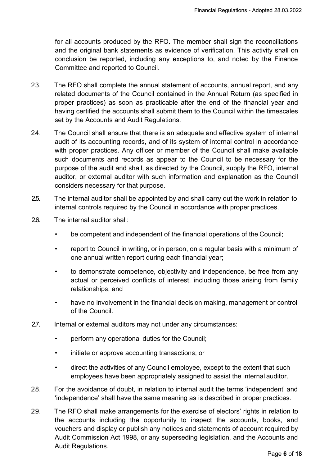for all accounts produced by the RFO. The member shall sign the reconciliations and the original bank statements as evidence of verification. This activity shall on conclusion be reported, including any exceptions to, and noted by the Finance Committee and reported to Council.

- 2.3. The RFO shall complete the annual statement of accounts, annual report, and any related documents of the Council contained in the Annual Return (as specified in proper practices) as soon as practicable after the end of the financial year and having certified the accounts shall submit them to the Council within the timescales set by the Accounts and Audit Regulations.
- 2.4. The Council shall ensure that there is an adequate and effective system of internal audit of its accounting records, and of its system of internal control in accordance with proper practices. Any officer or member of the Council shall make available such documents and records as appear to the Council to be necessary for the purpose of the audit and shall, as directed by the Council, supply the RFO, internal auditor, or external auditor with such information and explanation as the Council considers necessary for that purpose.
- 2.5. The internal auditor shall be appointed by and shall carry out the work in relation to internal controls required by the Council in accordance with proper practices.
- 2.6. The internal auditor shall:
	- be competent and independent of the financial operations of the Council;
	- report to Council in writing, or in person, on a regular basis with a minimum of one annual written report during each financial year;
	- to demonstrate competence, objectivity and independence, be free from any actual or perceived conflicts of interest, including those arising from family relationships; and
	- have no involvement in the financial decision making, management or control of the Council.
- 2.7. Internal or external auditors may not under any circumstances:
	- perform any operational duties for the Council;
	- initiate or approve accounting transactions; or
	- direct the activities of any Council employee, except to the extent that such employees have been appropriately assigned to assist the internal auditor.
- 2.8. For the avoidance of doubt, in relation to internal audit the terms 'independent' and 'independence' shall have the same meaning as is described in proper practices.
- 2.9. The RFO shall make arrangements for the exercise of electors' rights in relation to the accounts including the opportunity to inspect the accounts, books, and vouchers and display or publish any notices and statements of account required by Audit Commission Act 1998, or any superseding legislation, and the Accounts and Audit Regulations.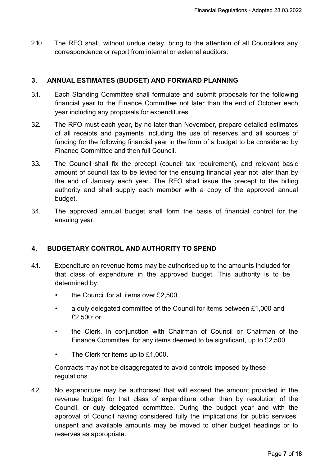2.10. The RFO shall, without undue delay, bring to the attention of all Councillors any correspondence or report from internal or external auditors.

#### <span id="page-6-0"></span>**3. ANNUAL ESTIMATES (BUDGET) AND FORWARD PLANNING**

- 3.1. Each Standing Committee shall formulate and submit proposals for the following financial year to the Finance Committee not later than the end of October each year including any proposals for expenditures.
- 3.2. The RFO must each year, by no later than November, prepare detailed estimates of all receipts and payments including the use of reserves and all sources of funding for the following financial year in the form of a budget to be considered by Finance Committee and then full Council.
- 3.3. The Council shall fix the precept (council tax requirement), and relevant basic amount of council tax to be levied for the ensuing financial year not later than by the end of January each year. The RFO shall issue the precept to the billing authority and shall supply each member with a copy of the approved annual budget.
- 3.4. The approved annual budget shall form the basis of financial control for the ensuing year.

#### <span id="page-6-1"></span>**4. BUDGETARY CONTROL AND AUTHORITY TO SPEND**

- 4.1. Expenditure on revenue items may be authorised up to the amounts included for that class of expenditure in the approved budget. This authority is to be determined by:
	- the Council for all items over £2,500
	- a duly delegated committee of the Council for items between £1,000 and £2,500; or
	- the Clerk, in conjunction with Chairman of Council or Chairman of the Finance Committee, for any items deemed to be significant, up to £2,500.
	- The Clerk for items up to £1,000.

Contracts may not be disaggregated to avoid controls imposed by these regulations.

42. No expenditure may be authorised that will exceed the amount provided in the revenue budget for that class of expenditure other than by resolution of the Council, or duly delegated committee. During the budget year and with the approval of Council having considered fully the implications for public services, unspent and available amounts may be moved to other budget headings or to reserves as appropriate.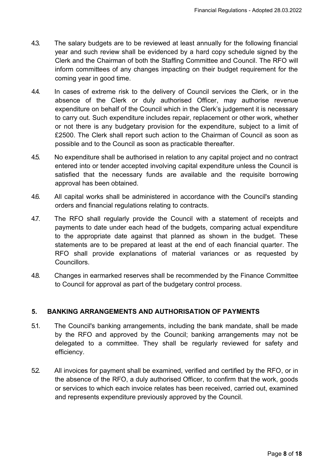- 4.3. The salary budgets are to be reviewed at least annually for the following financial year and such review shall be evidenced by a hard copy schedule signed by the Clerk and the Chairman of both the Staffing Committee and Council. The RFO will inform committees of any changes impacting on their budget requirement for the coming year in good time.
- 4.4. In cases of extreme risk to the delivery of Council services the Clerk, or in the absence of the Clerk or duly authorised Officer, may authorise revenue expenditure on behalf of the Council which in the Clerk's judgement it is necessary to carry out. Such expenditure includes repair, replacement or other work, whether or not there is any budgetary provision for the expenditure, subject to a limit of £2500. The Clerk shall report such action to the Chairman of Council as soon as possible and to the Council as soon as practicable thereafter.
- <span id="page-7-0"></span>4.5. No expenditure shall be authorised in relation to any capital project and no contract entered into or tender accepted involving capital expenditure unless the Council is satisfied that the necessary funds are available and the requisite borrowing approval has been obtained.
- 4.6. All capital works shall be administered in accordance with the Council's standing orders and financial regulations relating to contracts.
- 4.7. The RFO shall regularly provide the Council with a statement of receipts and payments to date under each head of the budgets, comparing actual expenditure to the appropriate date against that planned as shown in the budget. These statements are to be prepared at least at the end of each financial quarter. The RFO shall provide explanations of material variances or as requested by Councillors.
- 4.8. Changes in earmarked reserves shall be recommended by the Finance Committee to Council for approval as part of the budgetary control process.

#### **5. BANKING ARRANGEMENTS AND AUTHORISATION OF PAYMENTS**

- 5.1. The Council's banking arrangements, including the bank mandate, shall be made by the RFO and approved by the Council; banking arrangements may not be delegated to a committee. They shall be regularly reviewed for safety and efficiency.
- 5.2. All invoices for payment shall be examined, verified and certified by the RFO, or in the absence of the RFO, a duly authorised Officer, to confirm that the work, goods or services to which each invoice relates has been received, carried out, examined and represents expenditure previously approved by the Council.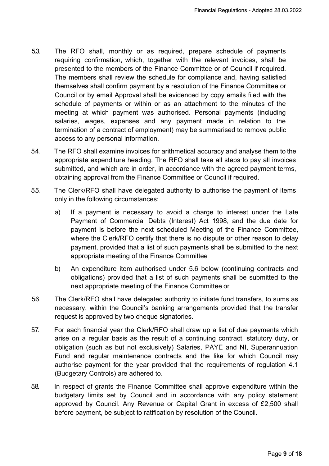- 5.3. The RFO shall, monthly or as required, prepare schedule of payments requiring confirmation, which, together with the relevant invoices, shall be presented to the members of the Finance Committee or of Council if required. The members shall review the schedule for compliance and, having satisfied themselves shall confirm payment by a resolution of the Finance Committee or Council or by email Approval shall be evidenced by copy emails filed with the schedule of payments or within or as an attachment to the minutes of the meeting at which payment was authorised. Personal payments (including salaries, wages, expenses and any payment made in relation to the termination of a contract of employment) may be summarised to remove public access to any personal information.
- 5.4. The RFO shall examine invoices for arithmetical accuracy and analyse them to the appropriate expenditure heading. The RFO shall take all steps to pay all invoices submitted, and which are in order, in accordance with the agreed payment terms, obtaining approval from the Finance Committee or Council if required.
- 5.5. The Clerk/RFO shall have delegated authority to authorise the payment of items only in the following circumstances:
	- a) If a payment is necessary to avoid a charge to interest under the Late Payment of Commercial Debts (Interest) Act 1998, and the due date for payment is before the next scheduled Meeting of the Finance Committee, where the Clerk/RFO certify that there is no dispute or other reason to delay payment, provided that a list of such payments shall be submitted to the next appropriate meeting of the Finance Committee
	- b) An expenditure item authorised under 5.6 below (continuing contracts and obligations) provided that a list of such payments shall be submitted to the next appropriate meeting of the Finance Committee or
- 56. The Clerk/RFO shall have delegated authority to initiate fund transfers, to sums as necessary, within the Council's banking arrangements provided that the transfer request is approved by two cheque signatories.
- 5.7. For each financial year the Clerk/RFO shall draw up a list of due payments which arise on a regular basis as the result of a continuing contract, statutory duty, or obligation (such as but not exclusively) Salaries, PAYE and NI, Superannuation Fund and regular maintenance contracts and the like for which Council may authorise payment for the year provided that the requirements of regulation 4.1 (Budgetary Controls) are adhered to.
- 5.8. In respect of grants the Finance Committee shall approve expenditure within the budgetary limits set by Council and in accordance with any policy statement approved by Council. Any Revenue or Capital Grant in excess of £2,500 shall before payment, be subject to ratification by resolution of the Council.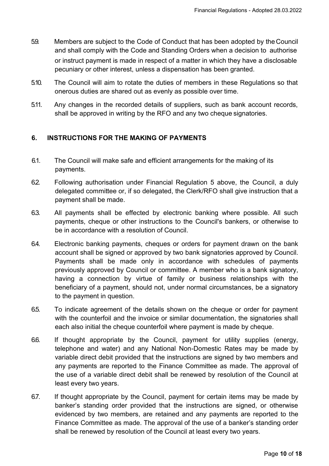- 5.9. Members are subject to the Code of Conduct that has been adopted by the Council and shall comply with the Code and Standing Orders when a decision to authorise or instruct payment is made in respect of a matter in which they have a disclosable pecuniary or other interest, unless a dispensation has been granted.
- 5.10. The Council will aim to rotate the duties of members in these Regulations so that onerous duties are shared out as evenly as possible over time.
- 5.11. Any changes in the recorded details of suppliers, such as bank account records, shall be approved in writing by the RFO and any two cheque signatories.

#### <span id="page-9-0"></span>**6. INSTRUCTIONS FOR THE MAKING OF PAYMENTS**

- 6.1. The Council will make safe and efficient arrangements for the making of its payments.
- 62. Following authorisation under Financial Regulation 5 above, the Council, a duly delegated committee or, if so delegated, the Clerk/RFO shall give instruction that a payment shall be made.
- 6.3. All payments shall be effected by electronic banking where possible. All such payments, cheque or other instructions to the Council's bankers, or otherwise to be in accordance with a resolution of Council.
- 6.4. Electronic banking payments, cheques or orders for payment drawn on the bank account shall be signed or approved by two bank signatories approved by Council. Payments shall be made only in accordance with schedules of payments previously approved by Council or committee. A member who is a bank signatory, having a connection by virtue of family or business relationships with the beneficiary of a payment, should not, under normal circumstances, be a signatory to the payment in question.
- 6.5. To indicate agreement of the details shown on the cheque or order for payment with the counterfoil and the invoice or similar documentation, the signatories shall each also initial the cheque counterfoil where payment is made by cheque.
- 6.6. If thought appropriate by the Council, payment for utility supplies (energy, telephone and water) and any National Non-Domestic Rates may be made by variable direct debit provided that the instructions are signed by two members and any payments are reported to the Finance Committee as made. The approval of the use of a variable direct debit shall be renewed by resolution of the Council at least every two years.
- 6.7. If thought appropriate by the Council, payment for certain items may be made by banker's standing order provided that the instructions are signed, or otherwise evidenced by two members, are retained and any payments are reported to the Finance Committee as made. The approval of the use of a banker's standing order shall be renewed by resolution of the Council at least every two years.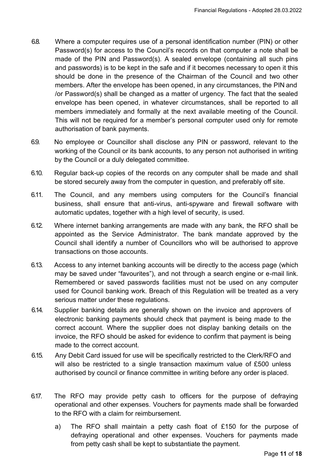- 6.8. Where a computer requires use of a personal identification number (PIN) or other Password(s) for access to the Council's records on that computer a note shall be made of the PIN and Password(s). A sealed envelope (containing all such pins and passwords) is to be kept in the safe and if it becomes necessary to open it this should be done in the presence of the Chairman of the Council and two other members. After the envelope has been opened, in any circumstances, the PIN and /or Password(s) shall be changed as a matter of urgency. The fact that the sealed envelope has been opened, in whatever circumstances, shall be reported to all members immediately and formally at the next available meeting of the Council. This will not be required for a member's personal computer used only for remote authorisation of bank payments.
- 6.9. No employee or Councillor shall disclose any PIN or password, relevant to the working of the Council or its bank accounts, to any person not authorised in writing by the Council or a duly delegated committee.
- 6.10. Regular back-up copies of the records on any computer shall be made and shall be stored securely away from the computer in question, and preferably off site.
- 6.11. The Council, and any members using computers for the Council's financial business, shall ensure that anti-virus, anti-spyware and firewall software with automatic updates, together with a high level of security, is used.
- 6.12. Where internet banking arrangements are made with any bank, the RFO shall be appointed as the Service Administrator. The bank mandate approved by the Council shall identify a number of Councillors who will be authorised to approve transactions on those accounts.
- 6.13. Access to any internet banking accounts will be directly to the access page (which may be saved under "favourites"), and not through a search engine or e-mail link. Remembered or saved passwords facilities must not be used on any computer used for Council banking work. Breach of this Regulation will be treated as a very serious matter under these regulations.
- 6.14. Supplier banking details are generally shown on the invoice and approvers of electronic banking payments should check that payment is being made to the correct account. Where the supplier does not display banking details on the invoice, the RFO should be asked for evidence to confirm that payment is being made to the correct account.
- 6.15. Any Debit Card issued for use will be specifically restricted to the Clerk/RFO and will also be restricted to a single transaction maximum value of £500 unless authorised by council or finance committee in writing before any order is placed.
- 6.17. The RFO may provide petty cash to officers for the purpose of defraying operational and other expenses. Vouchers for payments made shall be forwarded to the RFO with a claim for reimbursement.
	- a) The RFO shall maintain a petty cash float of £150 for the purpose of defraying operational and other expenses. Vouchers for payments made from petty cash shall be kept to substantiate the payment.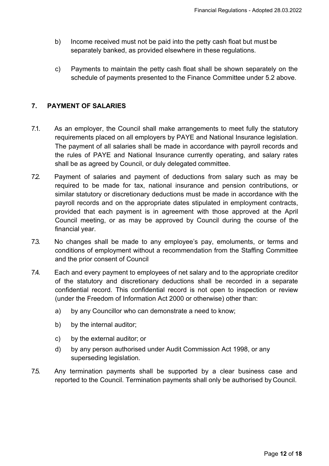- b) Income received must not be paid into the petty cash float but must be separately banked, as provided elsewhere in these regulations.
- <span id="page-11-0"></span>c) Payments to maintain the petty cash float shall be shown separately on the schedule of payments presented to the Finance Committee under 5.2 above.

#### **7. PAYMENT OF SALARIES**

- 7.1. As an employer, the Council shall make arrangements to meet fully the statutory requirements placed on all employers by PAYE and National Insurance legislation. The payment of all salaries shall be made in accordance with payroll records and the rules of PAYE and National Insurance currently operating, and salary rates shall be as agreed by Council, or duly delegated committee.
- 7.2. Payment of salaries and payment of deductions from salary such as may be required to be made for tax, national insurance and pension contributions, or similar statutory or discretionary deductions must be made in accordance with the payroll records and on the appropriate dates stipulated in employment contracts, provided that each payment is in agreement with those approved at the April Council meeting, or as may be approved by Council during the course of the financial year.
- 7.3. No changes shall be made to any employee's pay, emoluments, or terms and conditions of employment without a recommendation from the Staffing Committee and the prior consent of Council
- 7.4. Each and every payment to employees of net salary and to the appropriate creditor of the statutory and discretionary deductions shall be recorded in a separate confidential record. This confidential record is not open to inspection or review (under the Freedom of Information Act 2000 or otherwise) other than:
	- a) by any Councillor who can demonstrate a need to know;
	- b) by the internal auditor;
	- c) by the external auditor; or
	- d) by any person authorised under Audit Commission Act 1998, or any superseding legislation.
- 7.5. Any termination payments shall be supported by a clear business case and reported to the Council. Termination payments shall only be authorised by Council.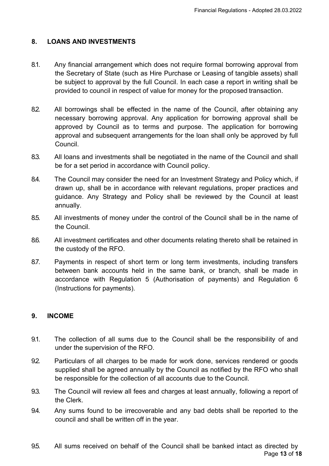#### <span id="page-12-0"></span>**8. LOANS AND INVESTMENTS**

- 8.1. Any financial arrangement which does not require formal borrowing approval from the Secretary of State (such as Hire Purchase or Leasing of tangible assets) shall be subject to approval by the full Council. In each case a report in writing shall be provided to council in respect of value for money for the proposed transaction.
- 8.2. All borrowings shall be effected in the name of the Council, after obtaining any necessary borrowing approval. Any application for borrowing approval shall be approved by Council as to terms and purpose. The application for borrowing approval and subsequent arrangements for the loan shall only be approved by full Council.
- 8.3. All loans and investments shall be negotiated in the name of the Council and shall be for a set period in accordance with Council policy.
- 8.4. The Council may consider the need for an Investment Strategy and Policy which, if drawn up, shall be in accordance with relevant regulations, proper practices and guidance. Any Strategy and Policy shall be reviewed by the Council at least annually.
- 8.5. All investments of money under the control of the Council shall be in the name of the Council.
- 8.6. All investment certificates and other documents relating thereto shall be retained in the custody of the RFO.
- 8.7. Payments in respect of short term or long term investments, including transfers between bank accounts held in the same bank, or branch, shall be made in accordance with Regulation 5 (Authorisation of payments) and Regulation 6 (Instructions for payments).

#### **9. INCOME**

- 9.1. The collection of all sums due to the Council shall be the responsibility of and under the supervision of the RFO.
- 9.2. Particulars of all charges to be made for work done, services rendered or goods supplied shall be agreed annually by the Council as notified by the RFO who shall be responsible for the collection of all accounts due to the Council.
- 9.3. The Council will review all fees and charges at least annually, following a report of the Clerk.
- 9.4. Any sums found to be irrecoverable and any bad debts shall be reported to the council and shall be written off in the year.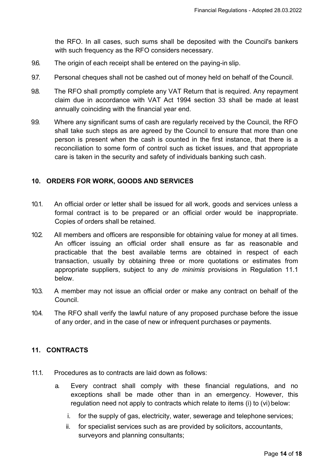the RFO. In all cases, such sums shall be deposited with the Council's bankers with such frequency as the RFO considers necessary.

- 9.6. The origin of each receipt shall be entered on the paying-in slip.
- <span id="page-13-0"></span>9.7. Personal cheques shall not be cashed out of money held on behalf of the Council.
- 9.8. The RFO shall promptly complete any VAT Return that is required. Any repayment claim due in accordance with VAT Act 1994 section 33 shall be made at least annually coinciding with the financial year end.
- 9.9. Where any significant sums of cash are regularly received by the Council, the RFO shall take such steps as are agreed by the Council to ensure that more than one person is present when the cash is counted in the first instance, that there is a reconciliation to some form of control such as ticket issues, and that appropriate care is taken in the security and safety of individuals banking such cash.

#### **10. ORDERS FOR WORK, GOODS AND SERVICES**

- 10.1. An official order or letter shall be issued for all work, goods and services unless a formal contract is to be prepared or an official order would be inappropriate. Copies of orders shall be retained.
- 10.2. All members and officers are responsible for obtaining value for money at all times. An officer issuing an official order shall ensure as far as reasonable and practicable that the best available terms are obtained in respect of each transaction, usually by obtaining three or more quotations or estimates from appropriate suppliers, subject to any *de minimis* provisions in Regulation 11.1 below.
- 10.3. A member may not issue an official order or make any contract on behalf of the Council.
- 10.4. The RFO shall verify the lawful nature of any proposed purchase before the issue of any order, and in the case of new or infrequent purchases or payments.

#### **11. CONTRACTS**

- 11.1. Procedures as to contracts are laid down as follows:
	- a. Every contract shall comply with these financial regulations, and no exceptions shall be made other than in an emergency. However, this regulation need not apply to contracts which relate to items (i) to (vi) below:
		- i. for the supply of gas, electricity, water, sewerage and telephone services;
		- ii. for specialist services such as are provided by solicitors, accountants, surveyors and planning consultants;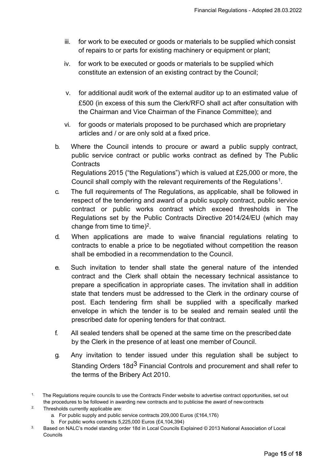- iii. for work to be executed or goods or materials to be supplied which consist of repairs to or parts for existing machinery or equipment or plant;
- iv. for work to be executed or goods or materials to be supplied which constitute an extension of an existing contract by the Council;
- v. for additional audit work of the external auditor up to an estimated value of £500 (in excess of this sum the Clerk/RFO shall act after consultation with the Chairman and Vice Chairman of the Finance Committee); and
- vi. for goods or materials proposed to be purchased which are proprietary articles and / or are only sold at a fixed price.
- b. Where the Council intends to procure or award a public supply contract, public service contract or public works contract as defined by The Public **Contracts** Regulations 2015 ("the Regulations") which is valued at £25,000 or more, the Council shall comply with the relevant requirements of the Regulations $^{\text{1}}$ .
- c. The full requirements of The Regulations, as applicable, shall be followed in respect of the tendering and award of a public supply contract, public service contract or public works contract which exceed thresholds in The Regulations set by the Public Contracts Directive 2014/24/EU (which may change from time to time)<sup>2</sup>.
- d. When applications are made to waive financial regulations relating to contracts to enable a price to be negotiated without competition the reason shall be embodied in a recommendation to the Council.
- e. Such invitation to tender shall state the general nature of the intended contract and the Clerk shall obtain the necessary technical assistance to prepare a specification in appropriate cases. The invitation shall in addition state that tenders must be addressed to the Clerk in the ordinary course of post. Each tendering firm shall be supplied with a specifically marked envelope in which the tender is to be sealed and remain sealed until the prescribed date for opening tenders for that contract.
- f. All sealed tenders shall be opened at the same time on the prescribed date by the Clerk in the presence of at least one member of Council.
- g. Any invitation to tender issued under this regulation shall be subject to Standing Orders 18d<sup>3</sup> Financial Controls and procurement and shall refer to the terms of the Bribery Act 2010.

- a. For public supply and public service contracts 209,000 Euros (£164,176)
- b. For public works contracts 5,225,000 Euros (£4,104,394)
- 3. Based on NALC's model standing order 18d in Local Councils Explained © 2013 National Association of Local Councils

 $1.$  The Regulations require councils to use the Contracts Finder website to advertise contract opportunities, set out the procedures to be followed in awarding new contracts and to publicise the award of new contracts

<sup>2.</sup> Thresholds currently applicable are: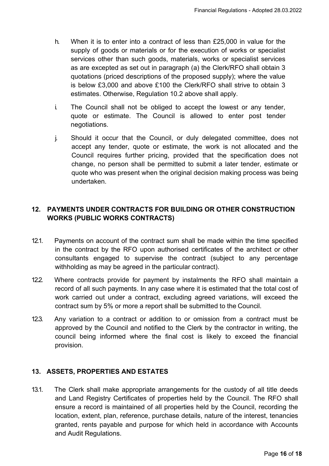- h. When it is to enter into a contract of less than £25,000 in value for the supply of goods or materials or for the execution of works or specialist services other than such goods, materials, works or specialist services as are excepted as set out in paragraph (a) the Clerk/RFO shall obtain 3 quotations (priced descriptions of the proposed supply); where the value is below £3,000 and above £100 the Clerk/RFO shall strive to obtain 3 estimates. Otherwise, Regulation 10.2 above shall apply.
- <span id="page-15-0"></span>i. The Council shall not be obliged to accept the lowest or any tender, quote or estimate. The Council is allowed to enter post tender negotiations.
- j. Should it occur that the Council, or duly delegated committee, does not accept any tender, quote or estimate, the work is not allocated and the Council requires further pricing, provided that the specification does not change, no person shall be permitted to submit a later tender, estimate or quote who was present when the original decision making process was being undertaken.

#### **12. PAYMENTS UNDER CONTRACTS FOR BUILDING OR OTHER CONSTRUCTION WORKS (PUBLIC WORKS CONTRACTS)**

- 12.1. Payments on account of the contract sum shall be made within the time specified in the contract by the RFO upon authorised certificates of the architect or other consultants engaged to supervise the contract (subject to any percentage withholding as may be agreed in the particular contract).
- 122. Where contracts provide for payment by instalments the RFO shall maintain a record of all such payments. In any case where it is estimated that the total cost of work carried out under a contract, excluding agreed variations, will exceed the contract sum by 5% or more a report shall be submitted to the Council.
- 12.3. Any variation to a contract or addition to or omission from a contract must be approved by the Council and notified to the Clerk by the contractor in writing, the council being informed where the final cost is likely to exceed the financial provision.

#### **13. ASSETS, PROPERTIES AND ESTATES**

13.1. The Clerk shall make appropriate arrangements for the custody of all title deeds and Land Registry Certificates of properties held by the Council. The RFO shall ensure a record is maintained of all properties held by the Council, recording the location, extent, plan, reference, purchase details, nature of the interest, tenancies granted, rents payable and purpose for which held in accordance with Accounts and Audit Regulations.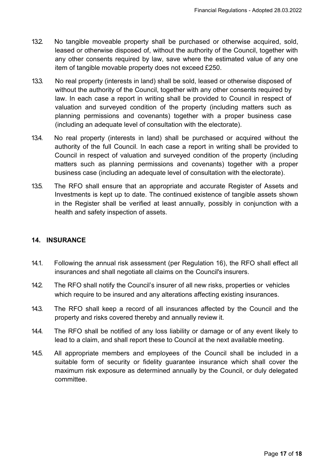- 13.2. No tangible moveable property shall be purchased or otherwise acquired, sold, leased or otherwise disposed of, without the authority of the Council, together with any other consents required by law, save where the estimated value of any one item of tangible movable property does not exceed £250.
- 13.3. No real property (interests in land) shall be sold, leased or otherwise disposed of without the authority of the Council, together with any other consents required by law. In each case a report in writing shall be provided to Council in respect of valuation and surveyed condition of the property (including matters such as planning permissions and covenants) together with a proper business case (including an adequate level of consultation with the electorate).
- <span id="page-16-0"></span>13.4. No real property (interests in land) shall be purchased or acquired without the authority of the full Council. In each case a report in writing shall be provided to Council in respect of valuation and surveyed condition of the property (including matters such as planning permissions and covenants) together with a proper business case (including an adequate level of consultation with the electorate).
- 13.5. The RFO shall ensure that an appropriate and accurate Register of Assets and Investments is kept up to date. The continued existence of tangible assets shown in the Register shall be verified at least annually, possibly in conjunction with a health and safety inspection of assets.

#### **14. INSURANCE**

- 14.1. Following the annual risk assessment (per Regulation 16), the RFO shall effect all insurances and shall negotiate all claims on the Council's insurers.
- 14.2. The RFO shall notify the Council's insurer of all new risks, properties or vehicles which require to be insured and any alterations affecting existing insurances.
- 14.3. The RFO shall keep a record of all insurances affected by the Council and the property and risks covered thereby and annually review it.
- 14.4. The RFO shall be notified of any loss liability or damage or of any event likely to lead to a claim, and shall report these to Council at the next available meeting.
- 14.5. All appropriate members and employees of the Council shall be included in a suitable form of security or fidelity guarantee insurance which shall cover the maximum risk exposure as determined annually by the Council, or duly delegated committee.